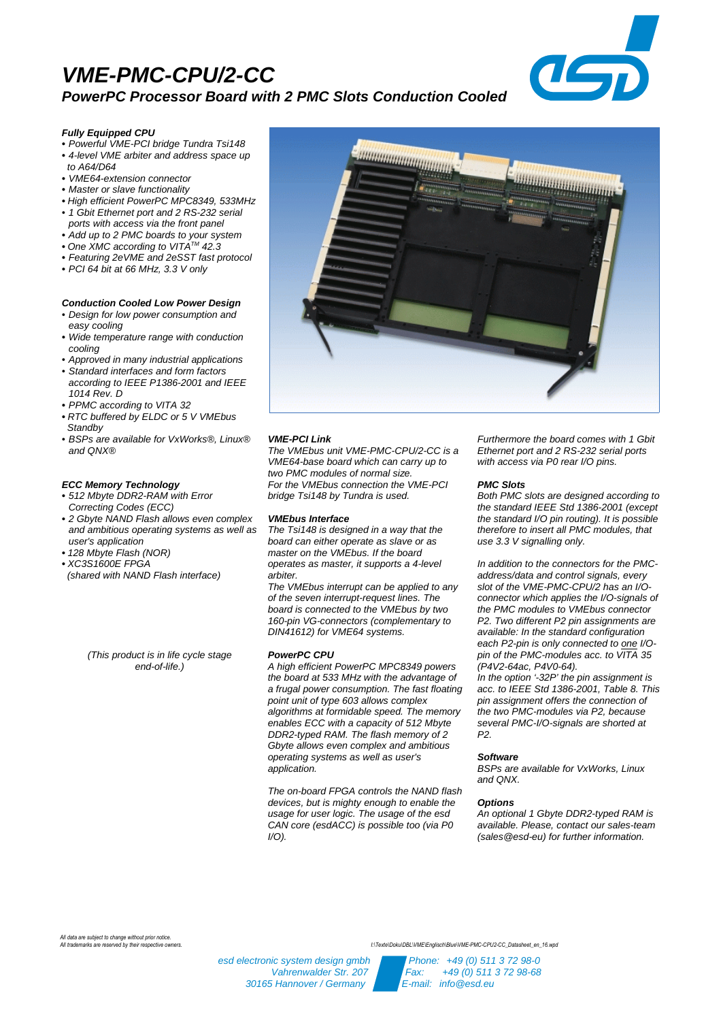## **VME-PMC-CPU/2-CC PowerPC Processor Board with 2 PMC Slots Conduction Cooled**



#### **Fully Equipped CPU**

- **•** Powerful VME-PCI bridge Tundra Tsi148 **•** 4-level VME arbiter and address space up
- to A64/D64
- **•** VME64-extension connector
- **•** Master or slave functionality
- **•** High efficient PowerPC MPC8349, 533MHz
- 1 Gbit Ethernet port and 2 RS-232 serial ports with access via the front panel
- **•** Add up to 2 PMC boards to your system
- One XMC according to VITA<sup>™</sup> 42.3
- **•** Featuring 2eVME and 2eSST fast protocol
- **•** PCI 64 bit at 66 MHz, 3.3 V only

## **Conduction Cooled Low Power Design**

- Design for low power consumption and easy cooling
- **•** Wide temperature range with conduction cooling
- Approved in many industrial applications
- Standard interfaces and form factors according to IEEE P1386-2001 and IEEE
- 1014 Rev. D **•** PPMC according to VITA 32
- **•** RTC buffered by ELDC or 5 V VMEbus
- **Standby**
- BSPs are available for VxWorks®, Linux® and QNX®

### **ECC Memory Technology**

- **•** 512 Mbyte DDR2-RAM with Error Correcting Codes (ECC)
- **•** 2 Gbyte NAND Flash allows even complex and ambitious operating systems as well as user's application
- **•** 128 Mbyte Flash (NOR)
- **•** XC3S1600E FPGA
- (shared with NAND Flash interface)

(This product is in life cycle stage end-of-life.)



#### **VME-PCI Link**

The VMEbus unit VME-PMC-CPU/2-CC is a VME64-base board which can carry up to two PMC modules of normal size. For the VMEbus connection the VME-PCI bridge Tsi148 by Tundra is used.

#### **VMEbus Interface**

The Tsi148 is designed in a way that the board can either operate as slave or as master on the VMEbus. If the board operates as master, it supports a 4-level arbiter.

The VMEbus interrupt can be applied to any of the seven interrupt-request lines. The board is connected to the VMEbus by two 160-pin VG-connectors (complementary to DIN41612) for VME64 systems.

#### **PowerPC CPU**

A high efficient PowerPC MPC8349 powers the board at 533 MHz with the advantage of a frugal power consumption. The fast floating point unit of type 603 allows complex algorithms at formidable speed. The memory enables ECC with a capacity of 512 Mbyte DDR2-typed RAM. The flash memory of 2 Gbyte allows even complex and ambitious operating systems as well as user's application.

The on-board FPGA controls the NAND flash devices, but is mighty enough to enable the usage for user logic. The usage of the esd CAN core (esdACC) is possible too (via P0  $I/O$ ).

Furthermore the board comes with 1 Gbit Ethernet port and 2 RS-232 serial ports with access via P0 rear I/O pins.

#### **PMC Slots**

Both PMC slots are designed according to the standard IEEE Std 1386-2001 (except the standard I/O pin routing). It is possible therefore to insert all PMC modules, that use 3.3 V signalling only.

In addition to the connectors for the PMCaddress/data and control signals, every slot of the VME-PMC-CPU/2 has an I/Oconnector which applies the I/O-signals of the PMC modules to VMEbus connector P2. Two different P2 pin assignments are available: In the standard configuration each P2-pin is only connected to one I/Opin of the PMC-modules acc. to VITA 35 (P4V2-64ac, P4V0-64).

In the option '-32P' the pin assignment is acc. to IEEE Std 1386-2001, Table 8. This pin assignment offers the connection of the two PMC-modules via P2, because several PMC-I/O-signals are shorted at P2.

#### **Software**

BSPs are available for VxWorks, Linux and QNX.

#### **Options**

An optional 1 Gbyte DDR2-typed RAM is available. Please, contact our sales-team (sales@esd-eu) for further information.

*All data are subject to change without prior notice.*

*All trademarks are reserved by their respective owners. I:\Texte\Doku\DBL\VME\Englisch\Blue\VME-PMC-CPU2-CC\_Datasheet\_en\_16.wpd*

esd electronic system design gmbh Phone: +49 (0) 511 3 72 98-0